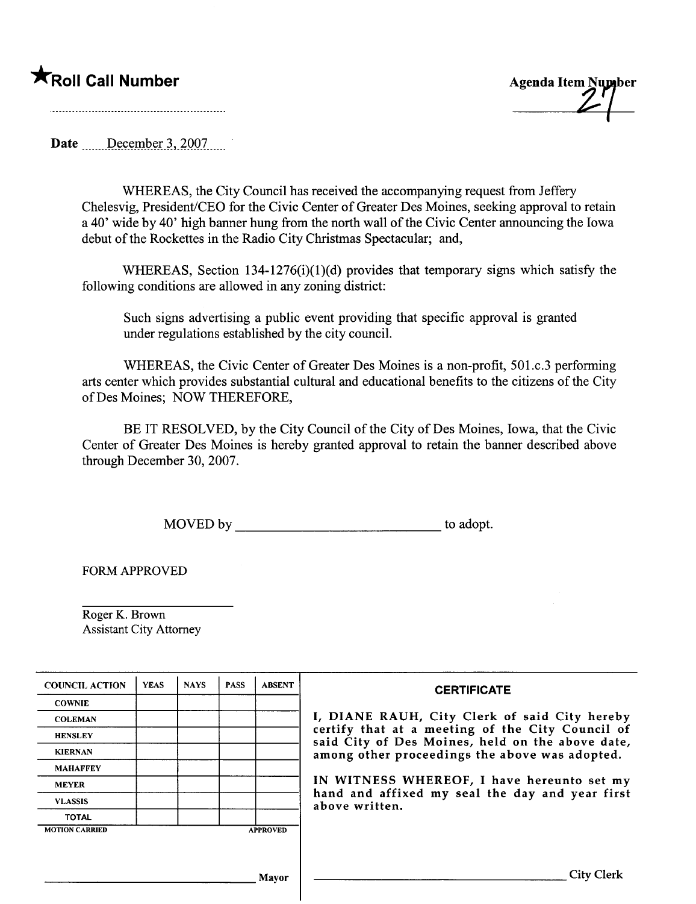**Example 1.1 Second Call Number Agenda Item Number** Agenda Item Number

Date  $December 3, 2007$ 

WHEREAS, the City Council has received the accompanying request from Jeffery Chelesvig, President/CEO for the Civic Center of Greater Des Moines, seeking approval to retain a 40' wide by 40' high banner hung from the north wall of the Civic Center announcing the Iowa debut of the Rockettes in the Radio City Christmas Spectacular; and,

WHEREAS, Section 134-1276(i)(1)(d) provides that temporary signs which satisfy the following conditions are allowed in any zoning district:

Such signs advertising a public event providing that specific approval is granted under regulations established by the city counciL.

WHEREAS, the Civic Center of Greater Des Moines is a non-profit, 501.c.3 performing arts center which provides substantial cultural and educational benefits to the citizens of the City of Des Moines; NOW THEREFORE,

BE IT RESOLVED, by the City Council of the City of Des Moines, Iowa, that the Civic Center of Greater Des Moines is hereby granted approval to retain the banner described above through December 30, 2007.

MOVED by to adopt.

FORM APPROVED

Roger K. Brown Assistant City Attorney

| <b>COUNCIL ACTION</b> | <b>YEAS</b> | <b>NAYS</b> | <b>PASS</b> | <b>ABSENT</b>   | <b>CERTIFICATE</b>                                                                                                                                                                                      |  |  |
|-----------------------|-------------|-------------|-------------|-----------------|---------------------------------------------------------------------------------------------------------------------------------------------------------------------------------------------------------|--|--|
| <b>COWNIE</b>         |             |             |             |                 | I, DIANE RAUH, City Clerk of said City hereby<br>certify that at a meeting of the City Council of<br>said City of Des Moines, held on the above date,<br>among other proceedings the above was adopted. |  |  |
| <b>COLEMAN</b>        |             |             |             |                 |                                                                                                                                                                                                         |  |  |
| <b>HENSLEY</b>        |             |             |             |                 |                                                                                                                                                                                                         |  |  |
| <b>KIERNAN</b>        |             |             |             |                 |                                                                                                                                                                                                         |  |  |
| <b>MAHAFFEY</b>       |             |             |             |                 |                                                                                                                                                                                                         |  |  |
| <b>MEYER</b>          |             |             |             |                 | IN WITNESS WHEREOF, I have hereunto set my<br>hand and affixed my seal the day and year first<br>above written.                                                                                         |  |  |
| <b>VLASSIS</b>        |             |             |             |                 |                                                                                                                                                                                                         |  |  |
| <b>TOTAL</b>          |             |             |             |                 |                                                                                                                                                                                                         |  |  |
| <b>MOTION CARRIED</b> |             |             |             | <b>APPROVED</b> |                                                                                                                                                                                                         |  |  |
|                       |             |             |             |                 |                                                                                                                                                                                                         |  |  |
|                       |             |             |             |                 |                                                                                                                                                                                                         |  |  |
| Mavor                 |             |             |             |                 | <b>City Clerl</b>                                                                                                                                                                                       |  |  |